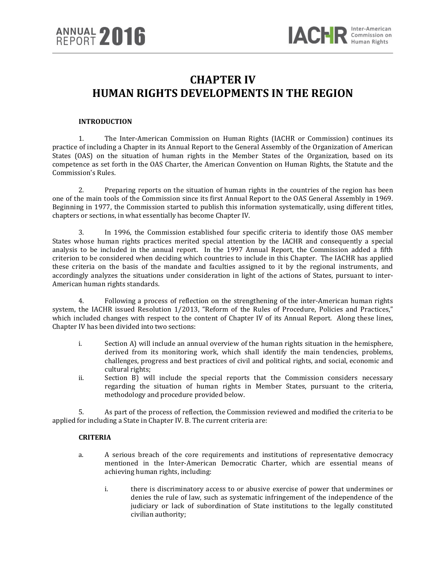# **CHAPTER IV HUMAN RIGHTS DEVELOPMENTS IN THE REGION**

#### **INTRODUCTION**

1. The Inter-American Commission on Human Rights (IACHR or Commission) continues its practice of including a Chapter in its Annual Report to the General Assembly of the Organization of American States (OAS) on the situation of human rights in the Member States of the Organization, based on its competence as set forth in the OAS Charter, the American Convention on Human Rights, the Statute and the Commission's Rules.

2. Preparing reports on the situation of human rights in the countries of the region has been one of the main tools of the Commission since its first Annual Report to the OAS General Assembly in 1969. Beginning in 1977, the Commission started to publish this information systematically, using different titles, chapters or sections, in what essentially has become Chapter IV.

3. In 1996, the Commission established four specific criteria to identify those OAS member States whose human rights practices merited special attention by the IACHR and consequently a special analysis to be included in the annual report. In the 1997 Annual Report, the Commission added a fifth criterion to be considered when deciding which countries to include in this Chapter. The IACHR has applied these criteria on the basis of the mandate and faculties assigned to it by the regional instruments, and accordingly analyzes the situations under consideration in light of the actions of States, pursuant to inter-American human rights standards.

4. Following a process of reflection on the strengthening of the inter-American human rights system, the IACHR issued Resolution 1/2013, "Reform of the Rules of Procedure, Policies and Practices," which included changes with respect to the content of Chapter IV of its Annual Report. Along these lines, Chapter IV has been divided into two sections:

- i. Section A) will include an annual overview of the human rights situation in the hemisphere, derived from its monitoring work, which shall identify the main tendencies, problems, challenges, progress and best practices of civil and political rights, and social, economic and cultural rights;
- ii. Section B) will include the special reports that the Commission considers necessary regarding the situation of human rights in Member States, pursuant to the criteria, methodology and procedure provided below.

5. As part of the process of reflection, the Commission reviewed and modified the criteria to be applied for including a State in Chapter IV. B. The current criteria are:

## **CRITERIA**

- a. A serious breach of the core requirements and institutions of representative democracy mentioned in the Inter-American Democratic Charter, which are essential means of achieving human rights, including:
	- i. there is discriminatory access to or abusive exercise of power that undermines or denies the rule of law, such as systematic infringement of the independence of the judiciary or lack of subordination of State institutions to the legally constituted civilian authority;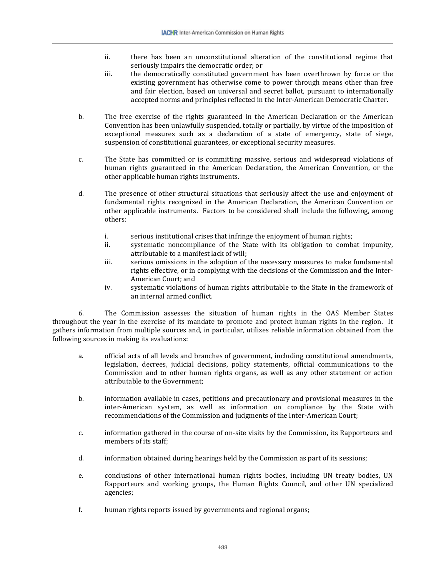- ii. there has been an unconstitutional alteration of the constitutional regime that seriously impairs the democratic order; or
- iii. the democratically constituted government has been overthrown by force or the existing government has otherwise come to power through means other than free and fair election, based on universal and secret ballot, pursuant to internationally accepted norms and principles reflected in the Inter-American Democratic Charter.
- b. The free exercise of the rights guaranteed in the American Declaration or the American Convention has been unlawfully suspended, totally or partially, by virtue of the imposition of exceptional measures such as a declaration of a state of emergency, state of siege, suspension of constitutional guarantees, or exceptional security measures.
- c. The State has committed or is committing massive, serious and widespread violations of human rights guaranteed in the American Declaration, the American Convention, or the other applicable human rights instruments.
- d. The presence of other structural situations that seriously affect the use and enjoyment of fundamental rights recognized in the American Declaration, the American Convention or other applicable instruments. Factors to be considered shall include the following, among others:
	- i. serious institutional crises that infringe the enjoyment of human rights;<br>ii. systematic noncompliance of the State with its obligation to comba
	- systematic noncompliance of the State with its obligation to combat impunity, attributable to a manifest lack of will;
	- iii. serious omissions in the adoption of the necessary measures to make fundamental rights effective, or in complying with the decisions of the Commission and the Inter-American Court; and
	- iv. systematic violations of human rights attributable to the State in the framework of an internal armed conflict.

6. The Commission assesses the situation of human rights in the OAS Member States throughout the year in the exercise of its mandate to promote and protect human rights in the region. It gathers information from multiple sources and, in particular, utilizes reliable information obtained from the following sources in making its evaluations:

- a. official acts of all levels and branches of government, including constitutional amendments, legislation, decrees, judicial decisions, policy statements, official communications to the Commission and to other human rights organs, as well as any other statement or action attributable to the Government;
- b. information available in cases, petitions and precautionary and provisional measures in the inter-American system, as well as information on compliance by the State with recommendations of the Commission and judgments of the Inter-American Court;
- c. information gathered in the course of on-site visits by the Commission, its Rapporteurs and members of its staff;
- d. information obtained during hearings held by the Commission as part of its sessions;
- e. conclusions of other international human rights bodies, including UN treaty bodies, UN Rapporteurs and working groups, the Human Rights Council, and other UN specialized agencies;
- f. human rights reports issued by governments and regional organs;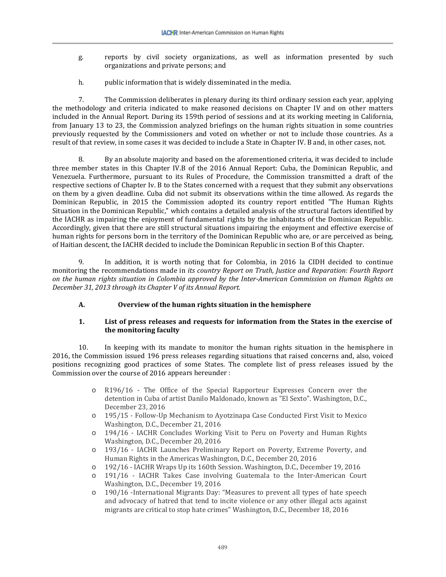- g. reports by civil society organizations, as well as information presented by such organizations and private persons; and
- h. public information that is widely disseminated in the media.

7. The Commission deliberates in plenary during its third ordinary session each year, applying the methodology and criteria indicated to make reasoned decisions on Chapter IV and on other matters included in the Annual Report. During its 159th period of sessions and at its working meeting in California, from January 13 to 23, the Commission analyzed briefings on the human rights situation in some countries previously requested by the Commissioners and voted on whether or not to include those countries. As a result of that review, in some cases it was decided to include a State in Chapter IV. B and, in other cases, not.

8. By an absolute majority and based on the aforementioned criteria, it was decided to include three member states in this Chapter IV.B of the 2016 Annual Report: Cuba, the Dominican Republic, and Venezuela. Furthermore, pursuant to its Rules of Procedure, the Commission transmitted a draft of the respective sections of Chapter Iv. B to the States concerned with a request that they submit any observations on them by a given deadline. Cuba did not submit its observations within the time allowed. As regards the Dominican Republic, in 2015 the Commission adopted its country report entitled "The Human Rights Situation in the Dominican Republic," which contains a detailed analysis of the structural factors identified by the IACHR as impairing the enjoyment of fundamental rights by the inhabitants of the Dominican Republic. Accordingly, given that there are still structural situations impairing the enjoyment and effective exercise of human rights for persons born in the territory of the Dominican Republic who are, or are perceived as being, of Haitian descent, the IACHR decided to include the Dominican Republic in section B of this Chapter.

9. In addition, it is worth noting that for Colombia, in 2016 la CIDH decided to continue monitoring the recommendations made in *its country Report on Truth, Justice and Reparation: Fourth Report on the human rights situation in Colombia approved by the Inter-American Commission on Human Rights on December 31, 2013 through its Chapter V of its Annual Report*.

#### **A. Overview of the human rights situation in the hemisphere**

## **1. List of press releases and requests for information from the States in the exercise of the monitoring faculty**

10. In keeping with its mandate to monitor the human rights situation in the hemisphere in 2016, the Commission issued 196 press releases regarding situations that raised concerns and, also, voiced positions recognizing good practices of some States. The complete list of press releases issued by the Commission over the course of 2016 appears hereunder :

- o R196/16 The Office of the Special Rapporteur Expresses Concern over the detention in Cuba of artist Danilo Maldonado, known as "El Sexto". Washington, D.C., December 23, 2016
- o 195/15 Follow-Up Mechanism to Ayotzinapa Case Conducted First Visit to Mexico Washington, D.C., December 21, 2016
- o 194/16 IACHR Concludes Working Visit to Peru on Poverty and Human Rights Washington, D.C., December 20, 2016
- o 193/16 IACHR Launches Preliminary Report on Poverty, Extreme Poverty, and Human Rights in the Americas Washington, D.C., December 20, 2016
- o 192/16 IACHR Wraps Up its 160th Session. Washington, D.C., December 19, 2016<br>
o 191/16 IACHR Takes Case involving Guatemala to the Inter-American Cour
- 191/16 IACHR Takes Case involving Guatemala to the Inter-American Court Washington, D.C., December 19, 2016
- o 190/16 -International Migrants Day: "Measures to prevent all types of hate speech and advocacy of hatred that tend to incite violence or any other illegal acts against migrants are critical to stop hate crimes" Washington, D.C., December 18, 2016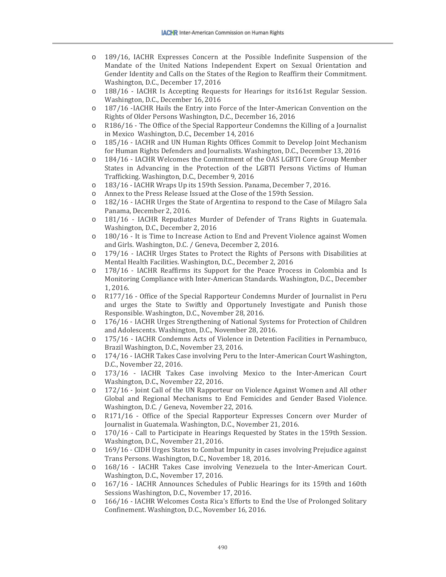- o 189/16, IACHR Expresses Concern at the Possible Indefinite Suspension of the Mandate of the United Nations Independent Expert on Sexual Orientation and Gender Identity and Calls on the States of the Region to Reaffirm their Commitment. Washington, D.C., December 17, 2016
- o 188/16 IACHR Is Accepting Requests for Hearings for its161st Regular Session. Washington, D.C., December 16, 2016
- o 187/16 -IACHR Hails the Entry into Force of the Inter-American Convention on the Rights of Older Persons Washington, D.C., December 16, 2016
- o R186/16 The Office of the Special Rapporteur Condemns the Killing of a Journalist in Mexico Washington, D.C., December 14, 2016
- o 185/16 IACHR and UN Human Rights Offices Commit to Develop Joint Mechanism for Human Rights Defenders and Journalists. Washington, D.C., December 13, 2016
- o 184/16 IACHR Welcomes the Commitment of the OAS LGBTI Core Group Member States in Advancing in the Protection of the LGBTI Persons Victims of Human Trafficking. Washington, D.C., December 9, 2016
- o 183/16 IACHR Wraps Up its 159th Session. Panama, December 7, 2016.
- o Annex to the Press Release Issued at the Close of the 159th Session.
- o 182/16 IACHR Urges the State of Argentina to respond to the Case of Milagro Sala Panama, December 2, 2016.
- o 181/16 IACHR Repudiates Murder of Defender of Trans Rights in Guatemala. Washington, D.C., December 2, 2016
- o 180/16 It is Time to Increase Action to End and Prevent Violence against Women and Girls. Washington, D.C. / Geneva, December 2, 2016.
- o 179/16 IACHR Urges States to Protect the Rights of Persons with Disabilities at Mental Health Facilities. Washington, D.C., December 2, 2016
- o 178/16 IACHR Reaffirms its Support for the Peace Process in Colombia and Is Monitoring Compliance with Inter-American Standards. Washington, D.C., December 1, 2016.
- o R177/16 Office of the Special Rapporteur Condemns Murder of Journalist in Peru and urges the State to Swiftly and Opportunely Investigate and Punish those Responsible. Washington, D.C., November 28, 2016.
- o 176/16 IACHR Urges Strengthening of National Systems for Protection of Children and Adolescents. Washington, D.C., November 28, 2016.
- o 175/16 IACHR Condemns Acts of Violence in Detention Facilities in Pernambuco, Brazil Washington, D.C., November 23, 2016.
- o 174/16 IACHR Takes Case involving Peru to the Inter-American Court Washington, D.C., November 22, 2016.
- o 173/16 IACHR Takes Case involving Mexico to the Inter-American Court Washington, D.C., November 22, 2016.
- o 172/16 Joint Call of the UN Rapporteur on Violence Against Women and All other Global and Regional Mechanisms to End Femicides and Gender Based Violence. Washington, D.C. / Geneva, November 22, 2016.
- o R171/16 Office of the Special Rapporteur Expresses Concern over Murder of Journalist in Guatemala. Washington, D.C., November 21, 2016.
- o 170/16 Call to Participate in Hearings Requested by States in the 159th Session. Washington, D.C., November 21, 2016.
- o 169/16 CIDH Urges States to Combat Impunity in cases involving Prejudice against Trans Persons. Washington, D.C., November 18, 2016.
- o 168/16 IACHR Takes Case involving Venezuela to the Inter-American Court. Washington, D.C., November 17, 2016.
- o 167/16 IACHR Announces Schedules of Public Hearings for its 159th and 160th Sessions Washington, D.C., November 17, 2016.
- o 166/16 IACHR Welcomes Costa Rica's Efforts to End the Use of Prolonged Solitary Confinement. Washington, D.C., November 16, 2016.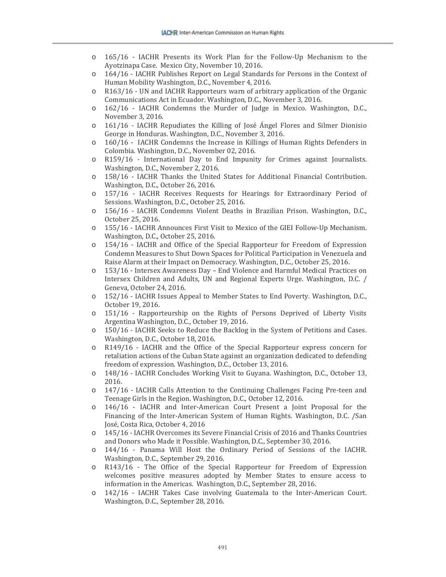- o 165/16 IACHR Presents its Work Plan for the Follow-Up Mechanism to the Ayotzinapa Case. Mexico City, November 10, 2016.
- o 164/16 IACHR Publishes Report on Legal Standards for Persons in the Context of Human Mobility Washington, D.C., November 4, 2016.
- o R163/16 UN and IACHR Rapporteurs warn of arbitrary application of the Organic Communications Act in Ecuador. Washington, D.C., November 3, 2016.
- o 162/16 IACHR Condemns the Murder of Judge in Mexico. Washington, D.C., November 3, 2016.
- o 161/16 IACHR Repudiates the Killing of José Ángel Flores and Silmer Dionisio George in Honduras. Washington, D.C., November 3, 2016.
- o 160/16 IACHR Condemns the Increase in Killings of Human Rights Defenders in Colombia. Washington, D.C., November 02, 2016.
- o R159/16 International Day to End Impunity for Crimes against Journalists. Washington, D.C., November 2, 2016.
- o 158/16 IACHR Thanks the United States for Additional Financial Contribution. Washington, D.C., October 26, 2016.
- o 157/16 IACHR Receives Requests for Hearings for Extraordinary Period of Sessions. Washington, D.C., October 25, 2016.
- o 156/16 IACHR Condemns Violent Deaths in Brazilian Prison. Washington, D.C., October 25, 2016.
- o 155/16 IACHR Announces First Visit to Mexico of the GIEI Follow-Up Mechanism. Washington, D.C., October 25, 2016.
- o 154/16 IACHR and Office of the Special Rapporteur for Freedom of Expression Condemn Measures to Shut Down Spaces for Political Participation in Venezuela and Raise Alarm at their Impact on Democracy. Washington, D.C., October 25, 2016.
- o 153/16 Intersex Awareness Day End Violence and Harmful Medical Practices on Intersex Children and Adults, UN and Regional Experts Urge. Washington, D.C. / Geneva, October 24, 2016.
- o 152/16 IACHR Issues Appeal to Member States to End Poverty. Washington, D.C., October 19, 2016.
- o 151/16 Rapporteurship on the Rights of Persons Deprived of Liberty Visits Argentina Washington, D.C., October 19, 2016.
- o 150/16 IACHR Seeks to Reduce the Backlog in the System of Petitions and Cases. Washington, D.C., October 18, 2016.
- o R149/16 IACHR and the Office of the Special Rapporteur express concern for retaliation actions of the Cuban State against an organization dedicated to defending freedom of expression. Washington, D.C., October 13, 2016.
- o 148/16 IACHR Concludes Working Visit to Guyana. Washington, D.C., October 13, 2016.
- o 147/16 IACHR Calls Attention to the Continuing Challenges Facing Pre-teen and Teenage Girls in the Region. Washington, D.C., October 12, 2016.
- o 146/16 IACHR and Inter-American Court Present a Joint Proposal for the Financing of the Inter-American System of Human Rights. Washington, D.C. /San José, Costa Rica, October 4, 2016
- o 145/16 IACHR Overcomes its Severe Financial Crisis of 2016 and Thanks Countries and Donors who Made it Possible. Washington, D.C., September 30, 2016.
- o 144/16 Panama Will Host the Ordinary Period of Sessions of the IACHR. Washington, D.C., September 29, 2016.
- o R143/16 The Office of the Special Rapporteur for Freedom of Expression welcomes positive measures adopted by Member States to ensure access to information in the Americas. Washington, D.C., September 28, 2016.
- o 142/16 IACHR Takes Case involving Guatemala to the Inter-American Court. Washington, D.C., September 28, 2016.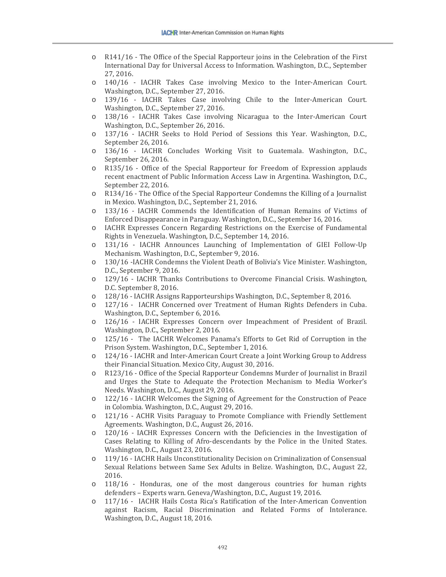- o R141/16 The Office of the Special Rapporteur joins in the Celebration of the First International Day for Universal Access to Information. Washington, D.C., September 27, 2016.
- o 140/16 IACHR Takes Case involving Mexico to the Inter-American Court. Washington, D.C., September 27, 2016.
- o 139/16 IACHR Takes Case involving Chile to the Inter-American Court. Washington, D.C., September 27, 2016.
- o 138/16 IACHR Takes Case involving Nicaragua to the Inter-American Court Washington, D.C., September 26, 2016.
- o 137/16 IACHR Seeks to Hold Period of Sessions this Year. Washington, D.C., September 26, 2016.
- o 136/16 IACHR Concludes Working Visit to Guatemala. Washington, D.C., September 26, 2016.
- o R135/16 Office of the Special Rapporteur for Freedom of Expression applauds recent enactment of Public Information Access Law in Argentina. Washington, D.C., September 22, 2016.
- o R134/16 The Office of the Special Rapporteur Condemns the Killing of a Journalist in Mexico. Washington, D.C., September 21, 2016.
- o 133/16 IACHR Commends the Identification of Human Remains of Victims of Enforced Disappearance in Paraguay. Washington, D.C., September 16, 2016.
- o IACHR Expresses Concern Regarding Restrictions on the Exercise of Fundamental Rights in Venezuela. Washington, D.C., September 14, 2016.
- o 131/16 IACHR Announces Launching of Implementation of GIEI Follow-Up Mechanism. Washington, D.C., September 9, 2016.
- o 130/16 -IACHR Condemns the Violent Death of Bolivia's Vice Minister. Washington, D.C., September 9, 2016.
- o 129/16 IACHR Thanks Contributions to Overcome Financial Crisis. Washington, D.C. September 8, 2016.
- o 128/16 IACHR Assigns Rapporteurships Washington, D.C., September 8, 2016.<br>
o 127/16 IACHR Concerned over Treatment of Human Rights Defenders in C
- 127/16 IACHR Concerned over Treatment of Human Rights Defenders in Cuba. Washington, D.C., September 6, 2016.
- o 126/16 IACHR Expresses Concern over Impeachment of President of Brazil. Washington, D.C., September 2, 2016.
- o 125/16 The IACHR Welcomes Panama's Efforts to Get Rid of Corruption in the Prison System. Washington, D.C., September 1, 2016.
- o 124/16 IACHR and Inter-American Court Create a Joint Working Group to Address their Financial Situation. Mexico City, August 30, 2016.
- o R123/16 Office of the Special Rapporteur Condemns Murder of Journalist in Brazil and Urges the State to Adequate the Protection Mechanism to Media Worker's Needs. Washington, D.C., August 29, 2016.
- o 122/16 IACHR Welcomes the Signing of Agreement for the Construction of Peace in Colombia. Washington, D.C., August 29, 2016.
- o 121/16 ACHR Visits Paraguay to Promote Compliance with Friendly Settlement Agreements. Washington, D.C., August 26, 2016.
- o 120/16 IACHR Expresses Concern with the Deficiencies in the Investigation of Cases Relating to Killing of Afro-descendants by the Police in the United States. Washington, D.C., August 23, 2016.
- o 119/16 IACHR Hails Unconstitutionality Decision on Criminalization of Consensual Sexual Relations between Same Sex Adults in Belize. Washington, D.C., August 22, 2016.
- o 118/16 Honduras, one of the most dangerous countries for human rights defenders – Experts warn. Geneva/Washington, D.C., August 19, 2016.
- o 117/16 IACHR Hails Costa Rica's Ratification of the Inter-American Convention against Racism, Racial Discrimination and Related Forms of Intolerance. Washington, D.C., August 18, 2016.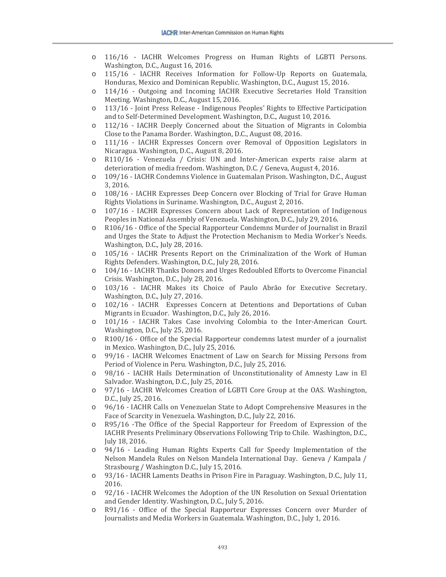- o 116/16 IACHR Welcomes Progress on Human Rights of LGBTI Persons. Washington, D.C., August 16, 2016.
- o 115/16 IACHR Receives Information for Follow-Up Reports on Guatemala, Honduras, Mexico and Dominican Republic. Washington, D.C., August 15, 2016.
- o 114/16 Outgoing and Incoming IACHR Executive Secretaries Hold Transition Meeting. Washington, D.C., August 15, 2016.
- o 113/16 Joint Press Release Indigenous Peoples' Rights to Effective Participation and to Self-Determined Development. Washington, D.C., August 10, 2016.
- o 112/16 IACHR Deeply Concerned about the Situation of Migrants in Colombia Close to the Panama Border. Washington, D.C., August 08, 2016.
- o 111/16 IACHR Expresses Concern over Removal of Opposition Legislators in Nicaragua. Washington, D.C., August 8, 2016.
- o R110/16 Venezuela / Crisis: UN and Inter-American experts raise alarm at deterioration of media freedom. Washington, D.C. / Geneva, August 4, 2016.
- o 109/16 IACHR Condemns Violence in Guatemalan Prison. Washington, D.C., August 3, 2016.
- o 108/16 IACHR Expresses Deep Concern over Blocking of Trial for Grave Human Rights Violations in Suriname. Washington, D.C., August 2, 2016.
- o 107/16 IACHR Expresses Concern about Lack of Representation of Indigenous Peoples in National Assembly of Venezuela. Washington, D.C., July 29, 2016.
- o R106/16 Office of the Special Rapporteur Condemns Murder of Journalist in Brazil and Urges the State to Adjust the Protection Mechanism to Media Worker's Needs. Washington, D.C., July 28, 2016.
- o 105/16 IACHR Presents Report on the Criminalization of the Work of Human Rights Defenders. Washington, D.C., July 28, 2016.
- o 104/16 IACHR Thanks Donors and Urges Redoubled Efforts to Overcome Financial Crisis. Washington, D.C., July 28, 2016.
- o 103/16 IACHR Makes its Choice of Paulo Abrão for Executive Secretary. Washington, D.C., July 27, 2016.
- o 102/16 IACHR Expresses Concern at Detentions and Deportations of Cuban Migrants in Ecuador. Washington, D.C., July 26, 2016.
- o 101/16 IACHR Takes Case involving Colombia to the Inter-American Court. Washington, D.C., July 25, 2016.
- o R100/16 Office of the Special Rapporteur condemns latest murder of a journalist in Mexico. Washington, D.C., July 25, 2016.
- o 99/16 IACHR Welcomes Enactment of Law on Search for Missing Persons from Period of Violence in Peru. Washington, D.C., July 25, 2016.
- o 98/16 IACHR Hails Determination of Unconstitutionality of Amnesty Law in El Salvador. Washington, D.C., July 25, 2016.
- o 97/16 IACHR Welcomes Creation of LGBTI Core Group at the OAS. Washington, D.C., July 25, 2016.
- o 96/16 IACHR Calls on Venezuelan State to Adopt Comprehensive Measures in the Face of Scarcity in Venezuela. Washington, D.C., July 22, 2016.
- o R95/16 -The Office of the Special Rapporteur for Freedom of Expression of the IACHR Presents Preliminary Observations Following Trip to Chile. Washington, D.C., July 18, 2016.
- o 94/16 Leading Human Rights Experts Call for Speedy Implementation of the Nelson Mandela Rules on Nelson Mandela International Day. Geneva / Kampala / Strasbourg / Washington D.C., July 15, 2016.
- o 93/16 IACHR Laments Deaths in Prison Fire in Paraguay. Washington, D.C., July 11, 2016.
- o 92/16 IACHR Welcomes the Adoption of the UN Resolution on Sexual Orientation and Gender Identity. Washington, D.C., July 5, 2016.
- o R91/16 Office of the Special Rapporteur Expresses Concern over Murder of Journalists and Media Workers in Guatemala. Washington, D.C., July 1, 2016.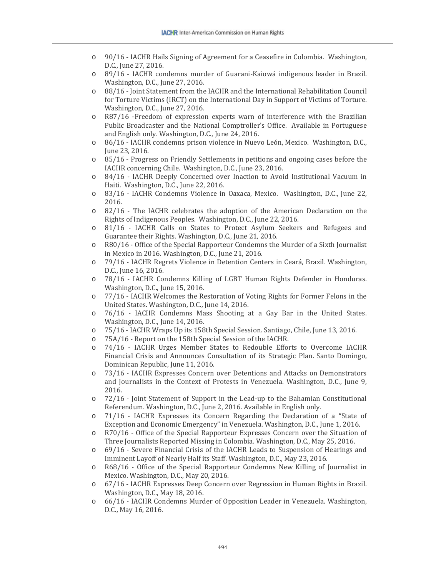- o 90/16 IACHR Hails Signing of Agreement for a Ceasefire in Colombia. Washington, D.C., June 27, 2016.
- o 89/16 IACHR condemns murder of Guarani-Kaiowá indigenous leader in Brazil. Washington, D.C., June 27, 2016.
- o 88/16 Joint Statement from the IACHR and the International Rehabilitation Council for Torture Victims (IRCT) on the International Day in Support of Victims of Torture. Washington, D.C., June 27, 2016.
- o R87/16 -Freedom of expression experts warn of interference with the Brazilian Public Broadcaster and the National Comptroller's Office. Available in Portuguese and English only. Washington, D.C., June 24, 2016.
- o 86/16 IACHR condemns prison violence in Nuevo León, Mexico. Washington, D.C., June 23, 2016.
- o 85/16 Progress on Friendly Settlements in petitions and ongoing cases before the IACHR concerning Chile. Washington, D.C., June 23, 2016.
- o 84/16 IACHR Deeply Concerned over Inaction to Avoid Institutional Vacuum in Haiti. Washington, D.C., June 22, 2016.
- o 83/16 IACHR Condemns Violence in Oaxaca, Mexico. Washington, D.C., June 22, 2016.
- o 82/16 The IACHR celebrates the adoption of the American Declaration on the Rights of Indigenous Peoples. Washington, D.C., June 22, 2016.
- o 81/16 IACHR Calls on States to Protect Asylum Seekers and Refugees and Guarantee their Rights. Washington, D.C., June 21, 2016.
- o R80/16 Office of the Special Rapporteur Condemns the Murder of a Sixth Journalist in Mexico in 2016. Washington, D.C., June 21, 2016.
- o 79/16 IACHR Regrets Violence in Detention Centers in Ceará, Brazil. Washington, D.C., June 16, 2016.
- o 78/16 IACHR Condemns Killing of LGBT Human Rights Defender in Honduras. Washington, D.C., June 15, 2016.
- o 77/16 IACHR Welcomes the Restoration of Voting Rights for Former Felons in the United States. Washington, D.C., June 14, 2016.
- o 76/16 IACHR Condemns Mass Shooting at a Gay Bar in the United States. Washington, D.C., June 14, 2016.
- o 75/16 IACHR Wraps Up its 158th Special Session. Santiago, Chile, June 13, 2016.
- o 75A/16 Report on the 158th Special Session of the IACHR.<br>0 74/16 JACHR JIrges, Member, States, to, Redouble, Effor
- 74/16 IACHR Urges Member States to Redouble Efforts to Overcome IACHR Financial Crisis and Announces Consultation of its Strategic Plan. Santo Domingo, Dominican Republic, June 11, 2016.
- o 73/16 IACHR Expresses Concern over Detentions and Attacks on Demonstrators and Journalists in the Context of Protests in Venezuela. Washington, D.C., June 9, 2016.
- o 72/16 Joint Statement of Support in the Lead-up to the Bahamian Constitutional Referendum. Washington, D.C., June 2, 2016. Available in English only.
- o 71/16 IACHR Expresses its Concern Regarding the Declaration of a "State of Exception and Economic Emergency" in Venezuela. Washington, D.C., June 1, 2016.
- o R70/16 Office of the Special Rapporteur Expresses Concern over the Situation of Three Journalists Reported Missing in Colombia. Washington, D.C., May 25, 2016.
- o 69/16 Severe Financial Crisis of the IACHR Leads to Suspension of Hearings and Imminent Layoff of Nearly Half its Staff. Washington, D.C., May 23, 2016.
- o R68/16 Office of the Special Rapporteur Condemns New Killing of Journalist in Mexico. Washington, D.C., May 20, 2016.
- o 67/16 IACHR Expresses Deep Concern over Regression in Human Rights in Brazil. Washington, D.C., May 18, 2016.
- o 66/16 IACHR Condemns Murder of Opposition Leader in Venezuela. Washington, D.C., May 16, 2016.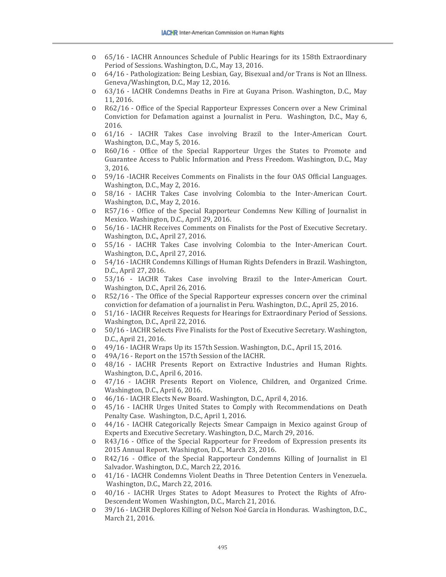- o 65/16 IACHR Announces Schedule of Public Hearings for its 158th Extraordinary Period of Sessions. Washington, D.C., May 13, 2016.
- o 64/16 Pathologization: Being Lesbian, Gay, Bisexual and/or Trans is Not an Illness. Geneva/Washington, D.C., May 12, 2016.
- o 63/16 IACHR Condemns Deaths in Fire at Guyana Prison. Washington, D.C., May 11, 2016.
- o R62/16 Office of the Special Rapporteur Expresses Concern over a New Criminal Conviction for Defamation against a Journalist in Peru. Washington, D.C., May 6, 2016.
- o 61/16 IACHR Takes Case involving Brazil to the Inter-American Court. Washington, D.C., May 5, 2016.
- o R60/16 Office of the Special Rapporteur Urges the States to Promote and Guarantee Access to Public Information and Press Freedom. Washington, D.C., May 3, 2016.
- o 59/16 -IACHR Receives Comments on Finalists in the four OAS Official Languages. Washington, D.C., May 2, 2016.
- o 58/16 IACHR Takes Case involving Colombia to the Inter-American Court. Washington, D.C., May 2, 2016.
- o R57/16 Office of the Special Rapporteur Condemns New Killing of Journalist in Mexico. Washington, D.C., April 29, 2016.
- o 56/16 IACHR Receives Comments on Finalists for the Post of Executive Secretary. Washington, D.C., April 27, 2016.
- o 55/16 IACHR Takes Case involving Colombia to the Inter-American Court. Washington, D.C., April 27, 2016.
- o 54/16 IACHR Condemns Killings of Human Rights Defenders in Brazil. Washington, D.C., April 27, 2016.
- o 53/16 IACHR Takes Case involving Brazil to the Inter-American Court. Washington, D.C., April 26, 2016.
- o R52/16 The Office of the Special Rapporteur expresses concern over the criminal conviction for defamation of a journalist in Peru. Washington, D.C., April 25, 2016.
- o 51/16 IACHR Receives Requests for Hearings for Extraordinary Period of Sessions. Washington, D.C., April 22, 2016.
- o 50/16 IACHR Selects Five Finalists for the Post of Executive Secretary. Washington, D.C., April 21, 2016.
- o 49/16 IACHR Wraps Up its 157th Session. Washington, D.C., April 15, 2016.<br>o 49A/16 Report on the 157th Session of the IACHR.
- o 49A/16 Report on the 157th Session of the IACHR.
- 48/16 IACHR Presents Report on Extractive Industries and Human Rights. Washington, D.C., April 6, 2016.
- o 47/16 IACHR Presents Report on Violence, Children, and Organized Crime. Washington, D.C., April 6, 2016.
- o 46/16 IACHR Elects New Board. Washington, D.C., April 4, 2016.
- o 45/16 IACHR Urges United States to Comply with Recommendations on Death Penalty Case. Washington, D.C., April 1, 2016.
- o 44/16 IACHR Categorically Rejects Smear Campaign in Mexico against Group of Experts and Executive Secretary. Washington, D.C., March 29, 2016.
- o R43/16 Office of the Special Rapporteur for Freedom of Expression presents its 2015 Annual Report. Washington, D.C., March 23, 2016.
- o R42/16 Office of the Special Rapporteur Condemns Killing of Journalist in El Salvador. Washington, D.C., March 22, 2016.
- o 41/16 IACHR Condemns Violent Deaths in Three Detention Centers in Venezuela. Washington, D.C., March 22, 2016.
- o 40/16 IACHR Urges States to Adopt Measures to Protect the Rights of Afro-Descendent Women Washington, D.C., March 21, 2016.
- o 39/16 IACHR Deplores Killing of Nelson Noé García in Honduras. Washington, D.C., March 21, 2016.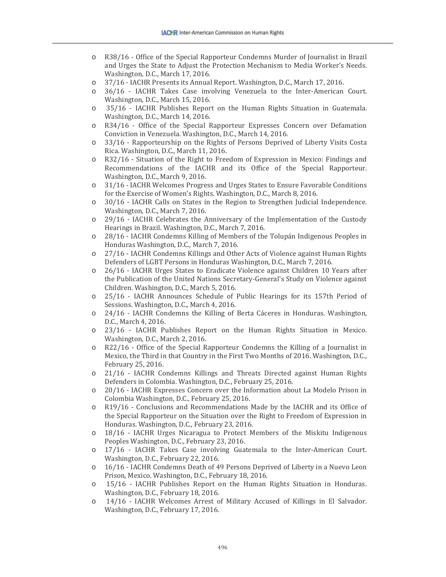- o R38/16 Office of the Special Rapporteur Condemns Murder of Journalist in Brazil and Urges the State to Adjust the Protection Mechanism to Media Worker's Needs. Washington, D.C., March 17, 2016.
- o 37/16 IACHR Presents its Annual Report. Washington, D.C., March 17, 2016.
- 36/16 IACHR Takes Case involving Venezuela to the Inter-American Court. Washington, D.C., March 15, 2016.
- o 35/16 IACHR Publishes Report on the Human Rights Situation in Guatemala. Washington, D.C., March 14, 2016.
- o R34/16 Office of the Special Rapporteur Expresses Concern over Defamation Conviction in Venezuela. Washington, D.C., March 14, 2016.
- o 33/16 Rapporteurship on the Rights of Persons Deprived of Liberty Visits Costa Rica. Washington, D.C., March 11, 2016.
- o R32/16 Situation of the Right to Freedom of Expression in Mexico: Findings and Recommendations of the IACHR and its Office of the Special Rapporteur. Washington, D.C., March 9, 2016.
- o 31/16 IACHR Welcomes Progress and Urges States to Ensure Favorable Conditions for the Exercise of Women's Rights. Washington, D.C., March 8, 2016.
- o 30/16 IACHR Calls on States in the Region to Strengthen Judicial Independence. Washington, D.C., March 7, 2016.
- o 29/16 IACHR Celebrates the Anniversary of the Implementation of the Custody Hearings in Brazil. Washington, D.C., March 7, 2016.
- o 28/16 IACHR Condemns Killing of Members of the Tolupán Indigenous Peoples in Honduras Washington, D.C., March 7, 2016.
- o 27/16 IACHR Condemns Killings and Other Acts of Violence against Human Rights Defenders of LGBT Persons in Honduras Washington, D.C., March 7, 2016.
- o 26/16 IACHR Urges States to Eradicate Violence against Children 10 Years after the Publication of the United Nations Secretary-General's Study on Violence against Children. Washington, D.C., March 5, 2016.
- o 25/16 IACHR Announces Schedule of Public Hearings for its 157th Period of Sessions. Washington, D.C., March 4, 2016.
- o 24/16 IACHR Condemns the Killing of Berta Cáceres in Honduras. Washington, D.C., March 4, 2016.
- o 23/16 IACHR Publishes Report on the Human Rights Situation in Mexico. Washington, D.C., March 2, 2016.
- o R22/16 Office of the Special Rapporteur Condemns the Killing of a Journalist in Mexico, the Third in that Country in the First Two Months of 2016. Washington, D.C., February 25, 2016.
- o 21/16 IACHR Condemns Killings and Threats Directed against Human Rights Defenders in Colombia. Washington, D.C., February 25, 2016.
- o 20/16 IACHR Expresses Concern over the Information about La Modelo Prison in Colombia Washington, D.C., February 25, 2016.
- o R19/16 Conclusions and Recommendations Made by the IACHR and its Office of the Special Rapporteur on the Situation over the Right to Freedom of Expression in Honduras. Washington, D.C., February 23, 2016.
- o 18/16 IACHR Urges Nicaragua to Protect Members of the Miskitu Indigenous Peoples Washington, D.C., February 23, 2016.
- o 17/16 IACHR Takes Case involving Guatemala to the Inter-American Court. Washington, D.C., February 22, 2016.
- o 16/16 IACHR Condemns Death of 49 Persons Deprived of Liberty in a Nuevo Leon Prison, Mexico. Washington, D.C., February 18, 2016.
- o 15/16 IACHR Publishes Report on the Human Rights Situation in Honduras. Washington, D.C., February 18, 2016.
- o 14/16 IACHR Welcomes Arrest of Military Accused of Killings in El Salvador. Washington, D.C., February 17, 2016.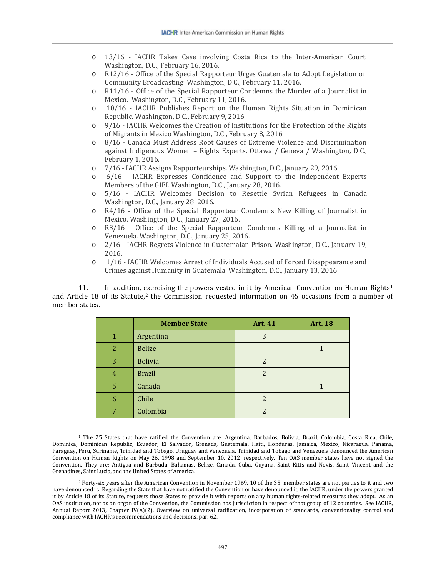- o 13/16 IACHR Takes Case involving Costa Rica to the Inter-American Court. Washington, D.C., February 16, 2016.
- o R12/16 Office of the Special Rapporteur Urges Guatemala to Adopt Legislation on Community Broadcasting Washington, D.C., February 11, 2016.
- o R11/16 Office of the Special Rapporteur Condemns the Murder of a Journalist in Mexico. Washington, D.C., February 11, 2016.
- o 10/16 IACHR Publishes Report on the Human Rights Situation in Dominican Republic. Washington, D.C., February 9, 2016.
- o 9/16 IACHR Welcomes the Creation of Institutions for the Protection of the Rights of Migrants in Mexico Washington, D.C., February 8, 2016.
- o 8/16 Canada Must Address Root Causes of Extreme Violence and Discrimination against Indigenous Women – Rights Experts. Ottawa / Geneva / Washington, D.C., February 1, 2016.
- o 7/16 IACHR Assigns Rapporteurships. Washington, D.C., January 29, 2016.
- o 6/16 IACHR Expresses Confidence and Support to the Independent Experts Members of the GIEI. Washington, D.C., January 28, 2016.
- o 5/16 IACHR Welcomes Decision to Resettle Syrian Refugees in Canada Washington, D.C., January 28, 2016.
- o R4/16 Office of the Special Rapporteur Condemns New Killing of Journalist in Mexico. Washington, D.C., January 27, 2016.
- o R3/16 Office of the Special Rapporteur Condemns Killing of a Journalist in Venezuela. Washington, D.C., January 25, 2016.
- o 2/16 IACHR Regrets Violence in Guatemalan Prison. Washington, D.C., January 19, 2016.
- o 1/16 IACHR Welcomes Arrest of Individuals Accused of Forced Disappearance and Crimes against Humanity in Guatemala. Washington, D.C., January 13, 2016.

11. In addition, [ex](#page-10-1)ercising the powers vested in it by American Convention on Human Rights<sup>[1](#page-10-0)</sup> and Article 18 of its Statute,<sup>2</sup> the Commission requested information on 45 occasions from a number of member states.

|   | <b>Member State</b> | <b>Art. 41</b> | <b>Art. 18</b> |
|---|---------------------|----------------|----------------|
|   | Argentina           | 3              |                |
| 2 | <b>Belize</b>       |                |                |
| 3 | <b>Bolivia</b>      |                |                |
| 4 | <b>Brazil</b>       | $\mathcal{P}$  |                |
| 5 | Canada              |                |                |
| 6 | Chile               |                |                |
|   | Colombia            | 2              |                |

<span id="page-10-0"></span><sup>1</sup> The 25 States that have ratified the Convention are: Argentina, Barbados, Bolivia, Brazil, Colombia, Costa Rica, Chile, Dominica, Dominican Republic, Ecuador, El Salvador, Grenada, Guatemala, Haiti, Honduras, Jamaica, Mexico, Nicaragua, Panama, Paraguay, Peru, Suriname, Trinidad and Tobago, Uruguay and Venezuela. Trinidad and Tobago and Venezuela denounced the American Convention on Human Rights on May 26, 1998 and September 10, 2012, respectively. Ten OAS member states have not signed the Convention. They are: Antigua and Barbuda, Bahamas, Belize, Canada, Cuba, Guyana, Saint Kitts and Nevis, Saint Vincent and the Grenadines, Saint Lucia, and the United States of America.

 $\overline{\phantom{a}}$ 

<span id="page-10-1"></span><sup>2</sup> Forty-six years after the American Convention in November 1969, 10 of the 35 member states are not parties to it and two have denounced it. Regarding the State that have not ratified the Convention or have denounced it, the IACHR, under the powers granted it by Article 18 of its Statute, requests those States to provide it with reports on any human rights-related measures they adopt. As an OAS institution, not as an organ of the Convention, the Commission has jurisdiction in respect of that group of 12 countries. See IACHR, Annual Report 2013, Chapter IV(A)(2), Overview on universal ratification, incorporation of standards, conventionality control and compliance with IACHR's recommendations and decisions. par. 62.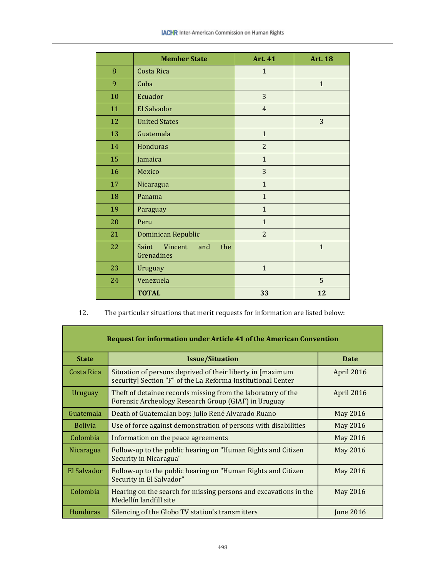|    | <b>Member State</b>                                 | <b>Art. 41</b> | <b>Art. 18</b> |
|----|-----------------------------------------------------|----------------|----------------|
| 8  | Costa Rica                                          | $\mathbf{1}$   |                |
| 9  | Cuba                                                |                | $\mathbf{1}$   |
| 10 | Ecuador                                             | 3              |                |
| 11 | El Salvador                                         | $\overline{4}$ |                |
| 12 | <b>United States</b>                                |                | 3              |
| 13 | Guatemala                                           | $\mathbf{1}$   |                |
| 14 | Honduras                                            | $\overline{2}$ |                |
| 15 | Jamaica                                             | $\mathbf{1}$   |                |
| 16 | Mexico                                              | $\overline{3}$ |                |
| 17 | Nicaragua                                           | $\mathbf{1}$   |                |
| 18 | Panama                                              | $\mathbf{1}$   |                |
| 19 | Paraguay                                            | $\mathbf{1}$   |                |
| 20 | Peru                                                | $\mathbf{1}$   |                |
| 21 | Dominican Republic                                  | $\overline{2}$ |                |
| 22 | <b>Saint</b><br>Vincent<br>the<br>and<br>Grenadines |                | $\mathbf 1$    |
| 23 | Uruguay                                             | $\mathbf{1}$   |                |
| 24 | Venezuela                                           |                | 5              |
|    | <b>TOTAL</b>                                        | 33             | 12             |

12. The particular situations that merit requests for information are listed below:

| <b>Request for information under Article 41 of the American Convention</b> |                                                                                                                             |                  |
|----------------------------------------------------------------------------|-----------------------------------------------------------------------------------------------------------------------------|------------------|
| <b>State</b>                                                               | <b>Issue/Situation</b>                                                                                                      | <b>Date</b>      |
| Costa Rica                                                                 | Situation of persons deprived of their liberty in [maximum]<br>security] Section "F" of the La Reforma Institutional Center | April 2016       |
| Uruguay                                                                    | Theft of detainee records missing from the laboratory of the<br>Forensic Archeology Research Group (GIAF) in Uruguay        | April 2016       |
| Guatemala                                                                  | Death of Guatemalan boy: Julio René Alvarado Ruano                                                                          | May 2016         |
| <b>Bolivia</b>                                                             | Use of force against demonstration of persons with disabilities                                                             | May 2016         |
| Colombia                                                                   | Information on the peace agreements                                                                                         | May 2016         |
| Nicaragua                                                                  | Follow-up to the public hearing on "Human Rights and Citizen"<br>Security in Nicaragua"                                     | May 2016         |
| El Salvador                                                                | Follow-up to the public hearing on "Human Rights and Citizen<br>Security in El Salvador"                                    | May 2016         |
| Colombia                                                                   | Hearing on the search for missing persons and excavations in the<br>Medellín landfill site                                  | May 2016         |
| <b>Honduras</b>                                                            | Silencing of the Globo TV station's transmitters                                                                            | <b>June 2016</b> |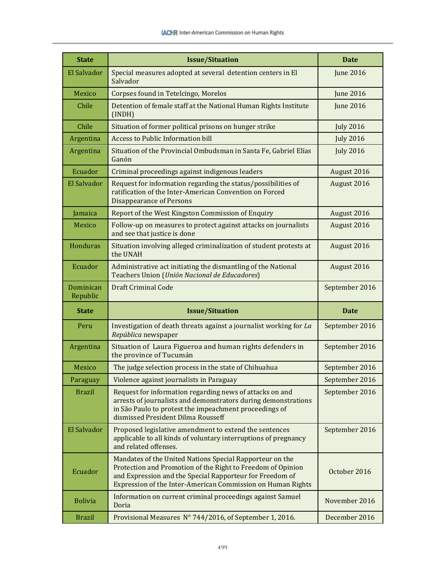| <b>State</b>          | <b>Issue/Situation</b>                                                                                                                                                                                                                             | <b>Date</b>      |
|-----------------------|----------------------------------------------------------------------------------------------------------------------------------------------------------------------------------------------------------------------------------------------------|------------------|
| El Salvador           | Special measures adopted at several detention centers in El<br>Salvador                                                                                                                                                                            | <b>June 2016</b> |
| Mexico                | Corpses found in Tetelcingo, Morelos                                                                                                                                                                                                               | <b>June 2016</b> |
| Chile                 | Detention of female staff at the National Human Rights Institute<br>(INDH)                                                                                                                                                                         | <b>June 2016</b> |
| Chile                 | Situation of former political prisons on hunger strike                                                                                                                                                                                             | <b>July 2016</b> |
| Argentina             | <b>Access to Public Information bill</b>                                                                                                                                                                                                           | <b>July 2016</b> |
| Argentina             | Situation of the Provincial Ombudsman in Santa Fe, Gabriel Elías<br>Ganón                                                                                                                                                                          | <b>July 2016</b> |
| Ecuador               | Criminal proceedings against indigenous leaders                                                                                                                                                                                                    | August 2016      |
| El Salvador           | Request for information regarding the status/possibilities of<br>ratification of the Inter-American Convention on Forced<br><b>Disappearance of Persons</b>                                                                                        | August 2016      |
| Jamaica               | Report of the West Kingston Commission of Enquiry                                                                                                                                                                                                  | August 2016      |
| Mexico                | Follow-up on measures to protect against attacks on journalists<br>and see that justice is done                                                                                                                                                    | August 2016      |
| Honduras              | Situation involving alleged criminalization of student protests at<br>the UNAH                                                                                                                                                                     | August 2016      |
| Ecuador               | Administrative act initiating the dismantling of the National<br>Teachers Union (Unión Nacional de Educadores)                                                                                                                                     | August 2016      |
| Dominican<br>Republic | Draft Criminal Code                                                                                                                                                                                                                                | September 2016   |
| <b>State</b>          | <b>Issue/Situation</b>                                                                                                                                                                                                                             | <b>Date</b>      |
| Peru                  | Investigation of death threats against a journalist working for La<br>República newspaper                                                                                                                                                          | September 2016   |
| Argentina             | Situation of Laura Figueroa and human rights defenders in<br>the province of Tucumán                                                                                                                                                               | September 2016   |
| Mexico                | The judge selection process in the state of Chihuahua                                                                                                                                                                                              | September 2016   |
| Paraguay              | Violence against journalists in Paraguay                                                                                                                                                                                                           | September 2016   |
| <b>Brazil</b>         | Request for information regarding news of attacks on and<br>arrests of journalists and demonstrators during demonstrations<br>in São Paulo to protest the impeachment proceedings of<br>dismissed President Dilma Rousseff                         | September 2016   |
| El Salvador           | Proposed legislative amendment to extend the sentences<br>applicable to all kinds of voluntary interruptions of pregnancy<br>and related offenses.                                                                                                 | September 2016   |
| Ecuador               | Mandates of the United Nations Special Rapporteur on the<br>Protection and Promotion of the Right to Freedom of Opinion<br>and Expression and the Special Rapporteur for Freedom of<br>Expression of the Inter-American Commission on Human Rights | October 2016     |
| <b>Bolivia</b>        | Information on current criminal proceedings against Samuel<br>Doria                                                                                                                                                                                | November 2016    |
| <b>Brazil</b>         | Provisional Measures N° 744/2016, of September 1, 2016.                                                                                                                                                                                            | December 2016    |